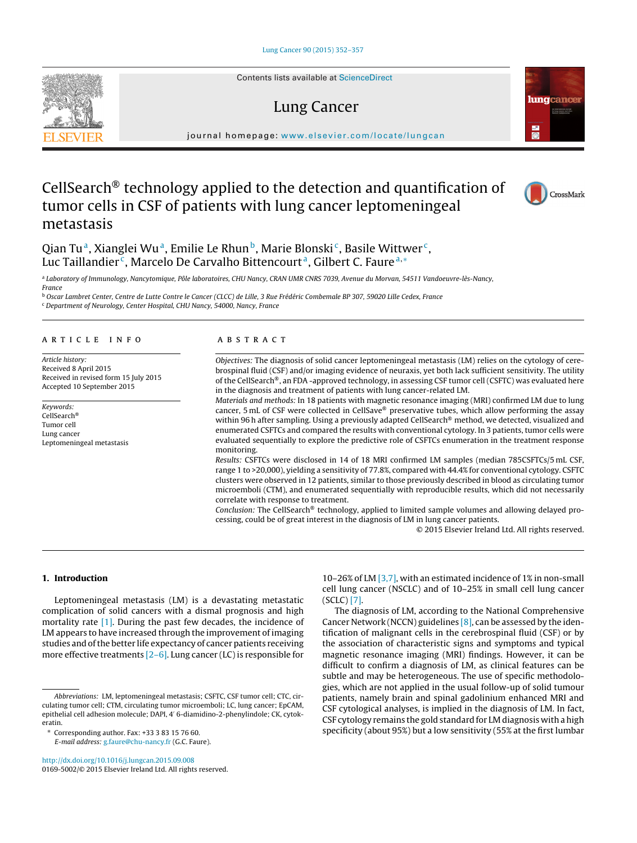Contents lists available at [ScienceDirect](http://www.sciencedirect.com/science/journal/01695002)

# Lung Cancer



# CellSearch® technology applied to the detection and quantification of tumor cells in CSF of patients with lung cancer leptomeningeal metastasis

Qian Tu<sup>a</sup>, Xianglei Wu<sup>a</sup>, Emilie Le Rhun<sup>b</sup>, Marie Blonski<sup>c</sup>, Basile Wittwer<sup>c</sup>, Luc Taillandier<sup>c</sup>, Marcelo De Carvalho Bittencourt<sup>a</sup>, Gilbert C. Faure<sup>a,\*</sup>

<sup>a</sup> Laboratory of Immunology, Nancytomique, Pôle laboratoires, CHU Nancy, CRAN UMR CNRS 7039, Avenue du Morvan, 54511 Vandoeuvre-lès-Nancy,

France

<sup>b</sup> Oscar Lambret Center, Centre de Lutte Contre le Cancer (CLCC) de Lille, 3 Rue Frédéric Combemale BP 307, 59020 Lille Cedex, France

<sup>c</sup> Department of Neurology, Center Hospital, CHU Nancy, 54000, Nancy, France

#### a r t i c l e i n f o

Article history: Received 8 April 2015 Received in revised form 15 July 2015 Accepted 10 September 2015

Keywords: CellSearch® Tumor cell Lung cancer Leptomeningeal metastasis

#### A B S T R A C T

Objectives: The diagnosis of solid cancer leptomeningeal metastasis (LM) relies on the cytology of cerebrospinal fluid (CSF) and/or imaging evidence of neuraxis, yet both lack sufficient sensitivity. The utility of the CellSearch®, an FDA -approved technology, in assessing CSF tumor cell (CSFTC) was evaluated here in the diagnosis and treatment of patients with lung cancer-related LM.

Materials and methods: In 18 patients with magnetic resonance imaging (MRI) confirmed LM due to lung cancer, 5 mL of CSF were collected in CellSave® preservative tubes, which allow performing the assay within 96 h after sampling. Using a previously adapted CellSearch® method, we detected, visualized and enumerated CSFTCs and compared the results with conventional cytology. In 3 patients, tumor cells were evaluated sequentially to explore the predictive role of CSFTCs enumeration in the treatment response monitoring.

Results: CSFTCs were disclosed in 14 of 18 MRI confirmed LM samples (median 785CSFTCs/5 mL CSF, range 1 to >20,000), yielding a sensitivity of 77.8%, compared with 44.4% for conventional cytology. CSFTC clusters were observed in 12 patients, similar to those previously described in blood as circulating tumor microemboli (CTM), and enumerated sequentially with reproducible results, which did not necessarily correlate with response to treatment.

Conclusion: The CellSearch® technology, applied to limited sample volumes and allowing delayed processing, could be of great interest in the diagnosis of LM in lung cancer patients.

© 2015 Elsevier Ireland Ltd. All rights reserved.

### **1. Introduction**

Leptomeningeal metastasis (LM) is a devastating metastatic complication of solid cancers with a dismal prognosis and high mortality rate [\[1\].](#page-4-0) During the past few decades, the incidence of LM appears to have increased through the improvement of imaging studies and of the better life expectancy of cancer patients receiving more effective treatments  $[2-6]$ . Lung cancer (LC) is responsible for

E-mail address: [g.faure@chu-nancy.fr](mailto:g.faure@chu-nancy.fr) (G.C. Faure).

[http://dx.doi.org/10.1016/j.lungcan.2015.09.008](dx.doi.org/10.1016/j.lungcan.2015.09.008) 0169-5002/© 2015 Elsevier Ireland Ltd. All rights reserved.

10–26% of LM [\[3,7\],](#page-4-0) with an estimated incidence of 1% in non-small cell lung cancer (NSCLC) and of 10–25% in small cell lung cancer (SCLC) [\[7\].](#page-4-0)

The diagnosis of LM, according to the National Comprehensive Cancer Network (NCCN) guidelines  $[8]$ , can be assessed by the identification of malignant cells in the cerebrospinal fluid (CSF) or by the association of characteristic signs and symptoms and typical magnetic resonance imaging (MRI) findings. However, it can be difficult to confirm a diagnosis of LM, as clinical features can be subtle and may be heterogeneous. The use of specific methodologies, which are not applied in the usual follow-up of solid tumour patients, namely brain and spinal gadolinium enhanced MRI and CSF cytological analyses, is implied in the diagnosis of LM. In fact, CSF cytology remains the gold standard for LM diagnosis with a high specificity (about 95%) but a low sensitivity (55% at the first lumbar





CrossMark

Abbreviations: LM, leptomeningeal metastasis; CSFTC, CSF tumor cell; CTC, circulating tumor cell; CTM, circulating tumor microemboli; LC, lung cancer; EpCAM, epithelial cell adhesion molecule; DAPI, 4 6-diamidino-2-phenylindole; CK, cytokeratin.

<sup>∗</sup> Corresponding author. Fax: +33 3 83 15 76 60.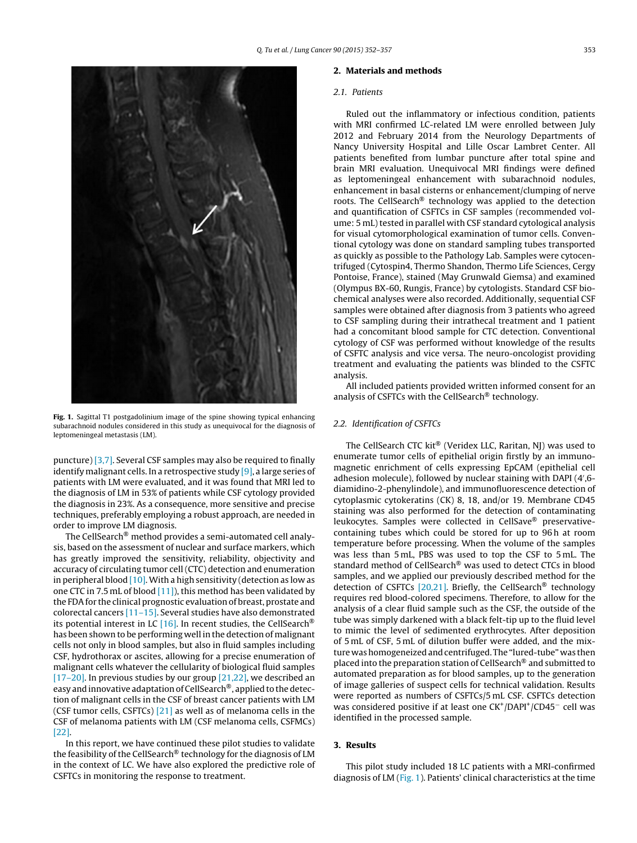

**Fig. 1.** Sagittal T1 postgadolinium image of the spine showing typical enhancing subarachnoid nodules considered in this study as unequivocal for the diagnosis of leptomeningeal metastasis (LM).

puncture) [\[3,7\].](#page-4-0) Several CSF samples may also be required to finally identify malignant cells. In a retrospective study [\[9\],](#page-4-0) a large series of patients with LM were evaluated, and it was found that MRI led to the diagnosis of LM in 53% of patients while CSF cytology provided the diagnosis in 23%. As a consequence, more sensitive and precise techniques, preferably employing a robust approach, are needed in order to improve LM diagnosis.

The CellSearch® method provides a semi-automated cell analysis, based on the assessment of nuclear and surface markers, which has greatly improved the sensitivity, reliability, objectivity and accuracy of circulating tumor cell (CTC) detection and enumeration in peripheral blood  $[10]$ . With a high sensitivity (detection as low as one CTC in 7.5 mL of blood [\[11\]\),](#page-4-0) this method has been validated by the FDAfor the clinical prognostic evaluation of breast, prostate and colorectal cancers  $[11-15]$ . Several studies have also demonstrated its potential interest in LC  $[16]$ . In recent studies, the CellSearch<sup>®</sup> has been shown to be performing well in the detection of malignant cells not only in blood samples, but also in fluid samples including CSF, hydrothorax or ascites, allowing for a precise enumeration of malignant cells whatever the cellularity of biological fluid samples [\[17–20\].](#page-5-0) In previous studies by our group  $[21,22]$ , we described an easy and innovative adaptation of CellSearch®, applied to the detection of malignant cells in the CSF of breast cancer patients with LM (CSF tumor cells, CSFTCs) [\[21\]](#page-5-0) as well as of melanoma cells in the CSF of melanoma patients with LM (CSF melanoma cells, CSFMCs) [\[22\].](#page-5-0)

In this report, we have continued these pilot studies to validate the feasibility of the CellSearch® technology for the diagnosis of LM in the context of LC. We have also explored the predictive role of CSFTCs in monitoring the response to treatment.

#### **2. Materials and methods**

## 2.1. Patients

Ruled out the inflammatory or infectious condition, patients with MRI confirmed LC-related LM were enrolled between July 2012 and February 2014 from the Neurology Departments of Nancy University Hospital and Lille Oscar Lambret Center. All patients benefited from lumbar puncture after total spine and brain MRI evaluation. Unequivocal MRI findings were defined as leptomeningeal enhancement with subarachnoid nodules, enhancement in basal cisterns or enhancement/clumping of nerve roots. The CellSearch® technology was applied to the detection and quantification of CSFTCs in CSF samples (recommended volume: 5 mL) tested in parallel with CSF standard cytological analysis for visual cytomorphological examination of tumor cells. Conventional cytology was done on standard sampling tubes transported as quickly as possible to the Pathology Lab. Samples were cytocentrifuged (Cytospin4, Thermo Shandon, Thermo Life Sciences, Cergy Pontoise, France), stained (May Grunwald Giemsa) and examined (Olympus BX-60, Rungis, France) by cytologists. Standard CSF biochemical analyses were also recorded. Additionally, sequential CSF samples were obtained after diagnosis from 3 patients who agreed to CSF sampling during their intrathecal treatment and 1 patient had a concomitant blood sample for CTC detection. Conventional cytology of CSF was performed without knowledge of the results of CSFTC analysis and vice versa. The neuro-oncologist providing treatment and evaluating the patients was blinded to the CSFTC analysis.

All included patients provided written informed consent for an analysis of CSFTCs with the CellSearch® technology.

## 2.2. Identification of CSFTCs

The CellSearch CTC kit® (Veridex LLC, Raritan, NJ) was used to enumerate tumor cells of epithelial origin firstly by an immunomagnetic enrichment of cells expressing EpCAM (epithelial cell adhesion molecule), followed by nuclear staining with DAPI (4 ,6 diamidino-2-phenylindole), and immunofluorescence detection of cytoplasmic cytokeratins (CK) 8, 18, and/or 19. Membrane CD45 staining was also performed for the detection of contaminating leukocytes. Samples were collected in CellSave® preservativecontaining tubes which could be stored for up to 96 h at room temperature before processing. When the volume of the samples was less than 5 mL, PBS was used to top the CSF to 5 mL. The standard method of CellSearch® was used to detect CTCs in blood samples, and we applied our previously described method for the detection of CSFTCs [\[20,21\].](#page-5-0) Briefly, the CellSearch® technology requires red blood-colored specimens. Therefore, to allow for the analysis of a clear fluid sample such as the CSF, the outside of the tube was simply darkened with a black felt-tip up to the fluid level to mimic the level of sedimented erythrocytes. After deposition of 5 mL of CSF, 5 mL of dilution buffer were added, and the mixture was homogeneized and centrifuged. The "lured-tube" was then placed into the preparation station of CellSearch® and submitted to automated preparation as for blood samples, up to the generation of image galleries of suspect cells for technical validation. Results were reported as numbers of CSFTCs/5 mL CSF. CSFTCs detection was considered positive if at least one CK<sup>+</sup>/DAPI<sup>+</sup>/CD45<sup>−</sup> cell was identified in the processed sample.

## **3. Results**

This pilot study included 18 LC patients with a MRI-confirmed diagnosis of LM (Fig. 1). Patients' clinical characteristics at the time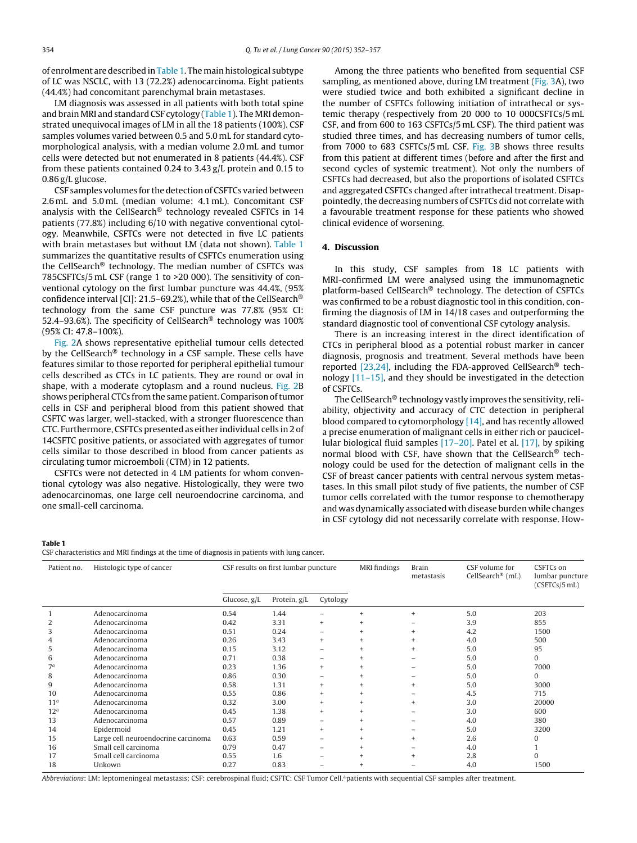of enrolment are described in Table 1. The main histological subtype of LC was NSCLC, with 13 (72.2%) adenocarcinoma. Eight patients (44.4%) had concomitant parenchymal brain metastases.

LM diagnosis was assessed in all patients with both total spine and brain MRI and standard CSF cytology (Table 1). The MRI demonstrated unequivocal images of LM in all the 18 patients (100%). CSF samples volumes varied between 0.5 and 5.0 mL for standard cytomorphological analysis, with a median volume 2.0 mL and tumor cells were detected but not enumerated in 8 patients (44.4%). CSF from these patients contained 0.24 to 3.43 g/L protein and 0.15 to 0.86 g/L glucose.

CSF samples volumes for the detection of CSFTCs varied between 2.6 mL and 5.0 mL (median volume: 4.1 mL). Concomitant CSF analysis with the CellSearch® technology revealed CSFTCs in 14 patients (77.8%) including 6/10 with negative conventional cytology. Meanwhile, CSFTCs were not detected in five LC patients with brain metastases but without LM (data not shown). Table 1 summarizes the quantitative results of CSFTCs enumeration using the CellSearch® technology. The median number of CSFTCs was 785CSFTCs/5 mL CSF (range 1 to >20 000). The sensitivity of conventional cytology on the first lumbar puncture was 44.4%, (95% confidence interval [CI]: 21.5–69.2%), while that of the CellSearch<sup>®</sup> technology from the same CSF puncture was 77.8% (95% CI: 52.4–93.6%). The specificity of CellSearch<sup>®</sup> technology was 100% (95% CI: 47.8–100%).

[Fig.](#page-3-0) 2A shows representative epithelial tumour cells detected by the CellSearch® technology in a CSF sample. These cells have features similar to those reported for peripheral epithelial tumour cells described as CTCs in LC patients. They are round or oval in shape, with a moderate cytoplasm and a round nucleus. [Fig.](#page-3-0) 2B shows peripheral CTCs from the same patient. Comparison of tumor cells in CSF and peripheral blood from this patient showed that CSFTC was larger, well-stacked, with a stronger fluorescence than CTC. Furthermore, CSFTCs presented as either individual cells in 2 of 14CSFTC positive patients, or associated with aggregates of tumor cells similar to those described in blood from cancer patients as circulating tumor microemboli (CTM) in 12 patients.

CSFTCs were not detected in 4 LM patients for whom conventional cytology was also negative. Histologically, they were two adenocarcinomas, one large cell neuroendocrine carcinoma, and one small-cell carcinoma.

Among the three patients who benefited from sequential CSF sampling, as mentioned above, during LM treatment ([Fig.](#page-3-0) 3A), two were studied twice and both exhibited a significant decline in the number of CSFTCs following initiation of intrathecal or systemic therapy (respectively from 20 000 to 10 000CSFTCs/5 mL CSF, and from 600 to 163 CSFTCs/5 mL CSF). The third patient was studied three times, and has decreasing numbers of tumor cells, from 7000 to 683 CSFTCs/5 mL CSF. [Fig.](#page-3-0) 3B shows three results from this patient at different times (before and after the first and second cycles of systemic treatment). Not only the numbers of CSFTCs had decreased, but also the proportions of isolated CSFTCs and aggregated CSFTCs changed after intrathecal treatment. Disappointedly, the decreasing numbers of CSFTCs did not correlate with a favourable treatment response for these patients who showed clinical evidence of worsening.

## **4. Discussion**

In this study, CSF samples from 18 LC patients with MRI-confirmed LM were analysed using the immunomagnetic platform-based CellSearch® technology. The detection of CSFTCs was confirmed to be a robust diagnostic tool in this condition, confirming the diagnosis of LM in 14/18 cases and outperforming the standard diagnostic tool of conventional CSF cytology analysis.

There is an increasing interest in the direct identification of CTCs in peripheral blood as a potential robust marker in cancer diagnosis, prognosis and treatment. Several methods have been reported [\[23,24\],](#page-5-0) including the FDA-approved CellSearch® technology [\[11–15\],](#page-4-0) and they should be investigated in the detection of CSFTCs.

The CellSearch® technology vastly improves the sensitivity, reliability, objectivity and accuracy of CTC detection in peripheral blood compared to cytomorphology [\[14\],](#page-5-0) and has recently allowed a precise enumeration of malignant cells in either rich or paucicellular biological fluid samples [\[17–20\].](#page-5-0) Patel et al. [\[17\],](#page-5-0) by spiking normal blood with CSF, have shown that the CellSearch® technology could be used for the detection of malignant cells in the CSF of breast cancer patients with central nervous system metastases. In this small pilot study of five patients, the number of CSF tumor cells correlated with the tumor response to chemotherapy and was dynamically associated with disease burden while changes in CSF cytology did not necessarily correlate with response. How-

### **Table 1**

CSF characteristics and MRI findings at the time of diagnosis in patients with lung cancer.

| Patient no.     | Histologic type of cancer           | CSF results on first lumbar puncture |              |                          | MRI findings | <b>Brain</b><br>metastasis | CSF volume for<br>CellSearch® (mL) | CSFTCs on<br>lumbar puncture<br>(CSFTCs/5 mL) |
|-----------------|-------------------------------------|--------------------------------------|--------------|--------------------------|--------------|----------------------------|------------------------------------|-----------------------------------------------|
|                 |                                     | Glucose, g/L                         | Protein, g/L | Cytology                 |              |                            |                                    |                                               |
|                 | Adenocarcinoma                      | 0.54                                 | 1.44         |                          |              |                            | 5.0                                | 203                                           |
|                 | Adenocarcinoma                      | 0.42                                 | 3.31         | $\ddot{}$                |              |                            | 3.9                                | 855                                           |
| 3               | Adenocarcinoma                      | 0.51                                 | 0.24         | -                        |              |                            | 4.2                                | 1500                                          |
|                 | Adenocarcinoma                      | 0.26                                 | 3.43         | $^{+}$                   |              |                            | 4.0                                | 500                                           |
| 5               | Adenocarcinoma                      | 0.15                                 | 3.12         |                          |              |                            | 5.0                                | 95                                            |
| 6               | Adenocarcinoma                      | 0.71                                 | 0.38         | -                        |              |                            | 5.0                                | $\Omega$                                      |
| 7 <sup>a</sup>  | Adenocarcinoma                      | 0.23                                 | 1.36         | $\ddot{}$                |              |                            | 5.0                                | 7000                                          |
| 8               | Adenocarcinoma                      | 0.86                                 | 0.30         | -                        |              |                            | 5.0                                | $\Omega$                                      |
| 9               | Adenocarcinoma                      | 0.58                                 | 1.31         | $\ddot{}$                |              |                            | 5.0                                | 3000                                          |
| 10              | Adenocarcinoma                      | 0.55                                 | 0.86         | $\ddot{}$                |              |                            | 4.5                                | 715                                           |
| 11 <sup>a</sup> | Adenocarcinoma                      | 0.32                                 | 3.00         | $^{+}$                   |              | $+$                        | 3.0                                | 20000                                         |
| 12 <sup>a</sup> | Adenocarcinoma                      | 0.45                                 | 1.38         | $^{+}$                   |              |                            | 3.0                                | 600                                           |
| 13              | Adenocarcinoma                      | 0.57                                 | 0.89         |                          |              |                            | 4.0                                | 380                                           |
| 14              | Epidermoid                          | 0.45                                 | 1.21         | $\ddot{}$                |              |                            | 5.0                                | 3200                                          |
| 15              | Large cell neuroendocrine carcinoma | 0.63                                 | 0.59         | $\overline{\phantom{0}}$ |              | $+$                        | 2.6                                | 0                                             |
| 16              | Small cell carcinoma                | 0.79                                 | 0.47         | -                        |              |                            | 4.0                                |                                               |
| 17              | Small cell carcinoma                | 0.55                                 | 1.6          | -                        |              |                            | 2.8                                | $\Omega$                                      |
| 18              | Unkown                              | 0.27                                 | 0.83         |                          |              |                            | 4.0                                | 1500                                          |

Abbreviations: LM: leptomeningeal metastasis; CSF: cerebrospinal fluid; CSFTC: CSF Tumor Cell.ªpatients with sequential CSF samples after treatment.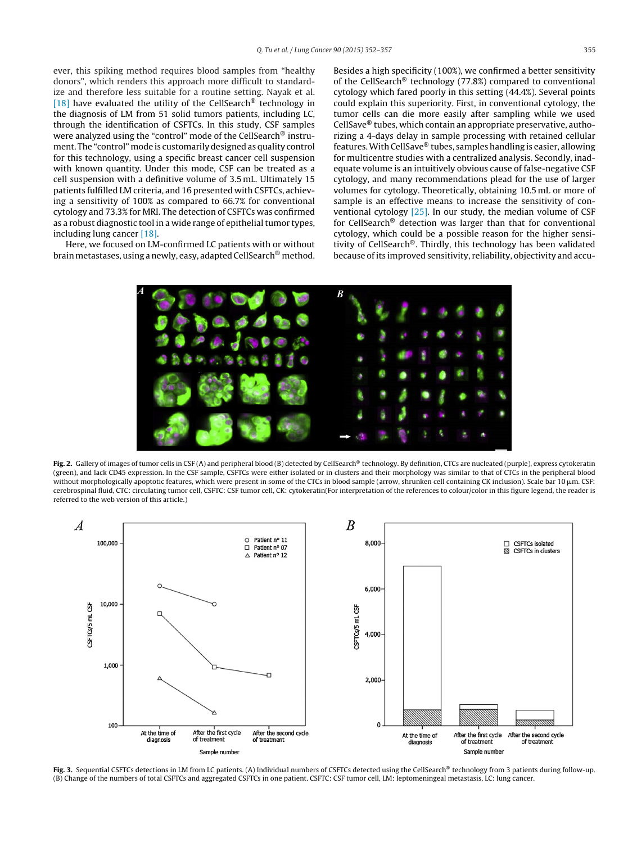<span id="page-3-0"></span>ever, this spiking method requires blood samples from "healthy donors", which renders this approach more difficult to standardize and therefore less suitable for a routine setting. Nayak et al. [\[18\]](#page-5-0) have evaluated the utility of the CellSearch<sup>®</sup> technology in the diagnosis of LM from 51 solid tumors patients, including LC, through the identification of CSFTCs. In this study, CSF samples were analyzed using the "control" mode of the CellSearch® instrument. The "control"mode is customarily designed as quality control for this technology, using a specific breast cancer cell suspension with known quantity. Under this mode, CSF can be treated as a cell suspension with a definitive volume of 3.5 mL. Ultimately 15 patients fulfilled LM criteria, and 16 presented with CSFTCs, achieving a sensitivity of 100% as compared to 66.7% for conventional cytology and 73.3% for MRI. The detection of CSFTCs was confirmed as a robust diagnostic tool in a wide range of epithelial tumor types, including lung cancer [\[18\].](#page-5-0)

Here, we focused on LM-confirmed LC patients with or without brain metastases, using a newly, easy, adapted CellSearch® method.

Besides a high specificity (100%), we confirmed a better sensitivity of the CellSearch® technology (77.8%) compared to conventional cytology which fared poorly in this setting (44.4%). Several points could explain this superiority. First, in conventional cytology, the tumor cells can die more easily after sampling while we used CellSave® tubes, which contain an appropriate preservative, authorizing a 4-days delay in sample processing with retained cellular features.With CellSave® tubes, samples handling is easier, allowing for multicentre studies with a centralized analysis. Secondly, inadequate volume is an intuitively obvious cause of false-negative CSF cytology, and many recommendations plead for the use of larger volumes for cytology. Theoretically, obtaining 10.5 mL or more of sample is an effective means to increase the sensitivity of conventional cytology [\[25\].](#page-5-0) In our study, the median volume of CSF for CellSearch® detection was larger than that for conventional cytology, which could be a possible reason for the higher sensitivity of CellSearch®. Thirdly, this technology has been validated because of its improved sensitivity, reliability, objectivity and accu-



**Fig. 2.** Gallery of images of tumor cells in CSF (A) and peripheral blood (B) detected by CellSearch® technology. By definition, CTCs are nucleated (purple), express cytokeratin (green), and lack CD45 expression. In the CSF sample, CSFTCs were either isolated or in clusters and their morphology was similar to that of CTCs in the peripheral blood without morphologically apoptotic features, which were present in some of the CTCs in blood sample (arrow, shrunken cell containing CK inclusion). Scale bar 10  $\mu$ m. CSF: cerebrospinal fluid, CTC: circulating tumor cell, CSFTC: CSF tumor cell, CK: cytokeratin(For interpretation of the references to colour/color in this figure legend, the reader is referred to the web version of this article.)



**Fig. 3.** Sequential CSFTCs detections in LM from LC patients. (A) Individual numbers of CSFTCs detected using the CellSearch® technology from 3 patients during follow-up. (B) Change of the numbers of total CSFTCs and aggregated CSFTCs in one patient. CSFTC: CSF tumor cell, LM: leptomeningeal metastasis, LC: lung cancer.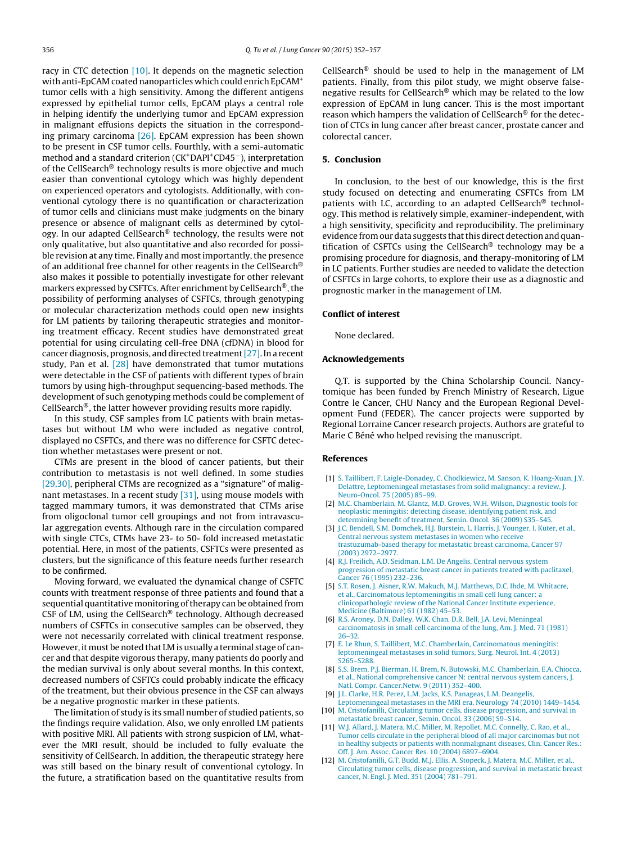<span id="page-4-0"></span>racy in CTC detection [10]. It depends on the magnetic selection with anti-EpCAM coated nanoparticles which could enrich EpCAM+ tumor cells with a high sensitivity. Among the different antigens expressed by epithelial tumor cells, EpCAM plays a central role in helping identify the underlying tumor and EpCAM expression in malignant effusions depicts the situation in the corresponding primary carcinoma [\[26\].](#page-5-0) EpCAM expression has been shown to be present in CSF tumor cells. Fourthly, with a semi-automatic method and a standard criterion (CK+DAPI+CD45−), interpretation of the CellSearch® technology results is more objective and much easier than conventional cytology which was highly dependent on experienced operators and cytologists. Additionally, with conventional cytology there is no quantification or characterization of tumor cells and clinicians must make judgments on the binary presence or absence of malignant cells as determined by cytology. In our adapted CellSearch® technology, the results were not only qualitative, but also quantitative and also recorded for possible revision at any time. Finally and most importantly, the presence of an additional free channel for other reagents in the CellSearch® also makes it possible to potentially investigate for other relevant markers expressed by CSFTCs. After enrichment by CellSearch<sup>®</sup>, the possibility of performing analyses of CSFTCs, through genotyping or molecular characterization methods could open new insights for LM patients by tailoring therapeutic strategies and monitoring treatment efficacy. Recent studies have demonstrated great potential for using circulating cell-free DNA (cfDNA) in blood for cancer diagnosis, prognosis, and directed treatment[\[27\].](#page-5-0) In a recent study, Pan et al. [\[28\]](#page-5-0) have demonstrated that tumor mutations were detectable in the CSF of patients with different types of brain tumors by using high-throughput sequencing-based methods. The development of such genotyping methods could be complement of CellSearch®, the latter however providing results more rapidly.

In this study, CSF samples from LC patients with brain metastases but without LM who were included as negative control, displayed no CSFTCs, and there was no difference for CSFTC detection whether metastases were present or not.

CTMs are present in the blood of cancer patients, but their contribution to metastasis is not well defined. In some studies [\[29,30\],](#page-5-0) peripheral CTMs are recognized as a "signature" of malignant metastases. In a recent study [\[31\],](#page-5-0) using mouse models with tagged mammary tumors, it was demonstrated that CTMs arise from oligoclonal tumor cell groupings and not from intravascular aggregation events. Although rare in the circulation compared with single CTCs, CTMs have 23- to 50- fold increased metastatic potential. Here, in most of the patients, CSFTCs were presented as clusters, but the significance of this feature needs further research to be confirmed.

Moving forward, we evaluated the dynamical change of CSFTC counts with treatment response of three patients and found that a sequential quantitative monitoring of therapy can be obtained from CSF of LM, using the CellSearch® technology. Although decreased numbers of CSFTCs in consecutive samples can be observed, they were not necessarily correlated with clinical treatment response. However, it must be noted that LM is usually a terminal stage of cancer and that despite vigorous therapy, many patients do poorly and the median survival is only about several months. In this context, decreased numbers of CSFTCs could probably indicate the efficacy of the treatment, but their obvious presence in the CSF can always be a negative prognostic marker in these patients.

The limitation of study is its small number of studied patients, so the findings require validation. Also, we only enrolled LM patients with positive MRI. All patients with strong suspicion of LM, whatever the MRI result, should be included to fully evaluate the sensitivity of CellSearch. In addition, the therapeutic strategy here was still based on the binary result of conventional cytology. In the future, a stratification based on the quantitative results from

CellSearch® should be used to help in the management of LM patients. Finally, from this pilot study, we might observe falsenegative results for CellSearch® which may be related to the low expression of EpCAM in lung cancer. This is the most important reason which hampers the validation of CellSearch® for the detection of CTCs in lung cancer after breast cancer, prostate cancer and colorectal cancer.

## **5. Conclusion**

In conclusion, to the best of our knowledge, this is the first study focused on detecting and enumerating CSFTCs from LM patients with LC, according to an adapted CellSearch<sup>®</sup> technology. This method is relatively simple, examiner-independent, with a high sensitivity, specificity and reproducibility. The preliminary evidence from our data suggests that this direct detection and quantification of CSFTCs using the CellSearch<sup>®</sup> technology may be a promising procedure for diagnosis, and therapy-monitoring of LM in LC patients. Further studies are needed to validate the detection of CSFTCs in large cohorts, to explore their use as a diagnostic and prognostic marker in the management of LM.

## **Conflict of interest**

None declared.

## **Acknowledgements**

Q.T. is supported by the China Scholarship Council. Nancytomique has been funded by French Ministry of Research, Ligue Contre le Cancer, CHU Nancy and the European Regional Development Fund (FEDER). The cancer projects were supported by Regional Lorraine Cancer research projects. Authors are grateful to Marie C Béné who helped revising the manuscript.

#### **References**

- [1] [S.](http://refhub.elsevier.com/S0169-5002(15)30052-0/sbref0005) [Taillibert,](http://refhub.elsevier.com/S0169-5002(15)30052-0/sbref0005) [F.](http://refhub.elsevier.com/S0169-5002(15)30052-0/sbref0005) [Laigle-Donadey,](http://refhub.elsevier.com/S0169-5002(15)30052-0/sbref0005) [C.](http://refhub.elsevier.com/S0169-5002(15)30052-0/sbref0005) [Chodkiewicz,](http://refhub.elsevier.com/S0169-5002(15)30052-0/sbref0005) [M.](http://refhub.elsevier.com/S0169-5002(15)30052-0/sbref0005) [Sanson,](http://refhub.elsevier.com/S0169-5002(15)30052-0/sbref0005) [K.](http://refhub.elsevier.com/S0169-5002(15)30052-0/sbref0005) [Hoang-Xuan,](http://refhub.elsevier.com/S0169-5002(15)30052-0/sbref0005) [J.Y.](http://refhub.elsevier.com/S0169-5002(15)30052-0/sbref0005) [Delattre,](http://refhub.elsevier.com/S0169-5002(15)30052-0/sbref0005) [Leptomeningeal](http://refhub.elsevier.com/S0169-5002(15)30052-0/sbref0005) [metastases](http://refhub.elsevier.com/S0169-5002(15)30052-0/sbref0005) [from](http://refhub.elsevier.com/S0169-5002(15)30052-0/sbref0005) [solid](http://refhub.elsevier.com/S0169-5002(15)30052-0/sbref0005) [malignancy:](http://refhub.elsevier.com/S0169-5002(15)30052-0/sbref0005) [a](http://refhub.elsevier.com/S0169-5002(15)30052-0/sbref0005) [review,](http://refhub.elsevier.com/S0169-5002(15)30052-0/sbref0005) [J.](http://refhub.elsevier.com/S0169-5002(15)30052-0/sbref0005) [Neuro-Oncol.](http://refhub.elsevier.com/S0169-5002(15)30052-0/sbref0005) [75](http://refhub.elsevier.com/S0169-5002(15)30052-0/sbref0005) [\(2005\)](http://refhub.elsevier.com/S0169-5002(15)30052-0/sbref0005) [85–99.](http://refhub.elsevier.com/S0169-5002(15)30052-0/sbref0005)
- [2] [M.C.](http://refhub.elsevier.com/S0169-5002(15)30052-0/sbref0010) [Chamberlain,](http://refhub.elsevier.com/S0169-5002(15)30052-0/sbref0010) [M.](http://refhub.elsevier.com/S0169-5002(15)30052-0/sbref0010) [Glantz,](http://refhub.elsevier.com/S0169-5002(15)30052-0/sbref0010) [M.D.](http://refhub.elsevier.com/S0169-5002(15)30052-0/sbref0010) [Groves,](http://refhub.elsevier.com/S0169-5002(15)30052-0/sbref0010) [W.H.](http://refhub.elsevier.com/S0169-5002(15)30052-0/sbref0010) [Wilson,](http://refhub.elsevier.com/S0169-5002(15)30052-0/sbref0010) [Diagnostic](http://refhub.elsevier.com/S0169-5002(15)30052-0/sbref0010) [tools](http://refhub.elsevier.com/S0169-5002(15)30052-0/sbref0010) [for](http://refhub.elsevier.com/S0169-5002(15)30052-0/sbref0010) [neoplastic](http://refhub.elsevier.com/S0169-5002(15)30052-0/sbref0010) [meningitis:](http://refhub.elsevier.com/S0169-5002(15)30052-0/sbref0010) [detecting](http://refhub.elsevier.com/S0169-5002(15)30052-0/sbref0010) [disease,](http://refhub.elsevier.com/S0169-5002(15)30052-0/sbref0010) [identifying](http://refhub.elsevier.com/S0169-5002(15)30052-0/sbref0010) [patient](http://refhub.elsevier.com/S0169-5002(15)30052-0/sbref0010) [risk,](http://refhub.elsevier.com/S0169-5002(15)30052-0/sbref0010) [and](http://refhub.elsevier.com/S0169-5002(15)30052-0/sbref0010) [determining](http://refhub.elsevier.com/S0169-5002(15)30052-0/sbref0010) [benefit](http://refhub.elsevier.com/S0169-5002(15)30052-0/sbref0010) [of](http://refhub.elsevier.com/S0169-5002(15)30052-0/sbref0010) [treatment,](http://refhub.elsevier.com/S0169-5002(15)30052-0/sbref0010) [Semin.](http://refhub.elsevier.com/S0169-5002(15)30052-0/sbref0010) [Oncol.](http://refhub.elsevier.com/S0169-5002(15)30052-0/sbref0010) [36](http://refhub.elsevier.com/S0169-5002(15)30052-0/sbref0010) [\(2009\)](http://refhub.elsevier.com/S0169-5002(15)30052-0/sbref0010) [S35–S45.](http://refhub.elsevier.com/S0169-5002(15)30052-0/sbref0010)
- [3] [J.C.](http://refhub.elsevier.com/S0169-5002(15)30052-0/sbref0015) [Bendell,](http://refhub.elsevier.com/S0169-5002(15)30052-0/sbref0015) [S.M.](http://refhub.elsevier.com/S0169-5002(15)30052-0/sbref0015) [Domchek,](http://refhub.elsevier.com/S0169-5002(15)30052-0/sbref0015) [H.J.](http://refhub.elsevier.com/S0169-5002(15)30052-0/sbref0015) [Burstein,](http://refhub.elsevier.com/S0169-5002(15)30052-0/sbref0015) [L.](http://refhub.elsevier.com/S0169-5002(15)30052-0/sbref0015) [Harris,](http://refhub.elsevier.com/S0169-5002(15)30052-0/sbref0015) [J.](http://refhub.elsevier.com/S0169-5002(15)30052-0/sbref0015) [Younger,](http://refhub.elsevier.com/S0169-5002(15)30052-0/sbref0015) [I.](http://refhub.elsevier.com/S0169-5002(15)30052-0/sbref0015) [Kuter,](http://refhub.elsevier.com/S0169-5002(15)30052-0/sbref0015) [et](http://refhub.elsevier.com/S0169-5002(15)30052-0/sbref0015) [al.,](http://refhub.elsevier.com/S0169-5002(15)30052-0/sbref0015) [Central](http://refhub.elsevier.com/S0169-5002(15)30052-0/sbref0015) [nervous](http://refhub.elsevier.com/S0169-5002(15)30052-0/sbref0015) [system](http://refhub.elsevier.com/S0169-5002(15)30052-0/sbref0015) [metastases](http://refhub.elsevier.com/S0169-5002(15)30052-0/sbref0015) [in](http://refhub.elsevier.com/S0169-5002(15)30052-0/sbref0015) [women](http://refhub.elsevier.com/S0169-5002(15)30052-0/sbref0015) [who](http://refhub.elsevier.com/S0169-5002(15)30052-0/sbref0015) [receive](http://refhub.elsevier.com/S0169-5002(15)30052-0/sbref0015) [trastuzumab-based](http://refhub.elsevier.com/S0169-5002(15)30052-0/sbref0015) [therapy](http://refhub.elsevier.com/S0169-5002(15)30052-0/sbref0015) [for](http://refhub.elsevier.com/S0169-5002(15)30052-0/sbref0015) [metastatic](http://refhub.elsevier.com/S0169-5002(15)30052-0/sbref0015) [breast](http://refhub.elsevier.com/S0169-5002(15)30052-0/sbref0015) [carcinoma,](http://refhub.elsevier.com/S0169-5002(15)30052-0/sbref0015) [Cancer](http://refhub.elsevier.com/S0169-5002(15)30052-0/sbref0015) [97](http://refhub.elsevier.com/S0169-5002(15)30052-0/sbref0015) [\(2003\)](http://refhub.elsevier.com/S0169-5002(15)30052-0/sbref0015) [2972–2977.](http://refhub.elsevier.com/S0169-5002(15)30052-0/sbref0015)
- [4] [R.J.](http://refhub.elsevier.com/S0169-5002(15)30052-0/sbref0020) [Freilich,](http://refhub.elsevier.com/S0169-5002(15)30052-0/sbref0020) [A.D.](http://refhub.elsevier.com/S0169-5002(15)30052-0/sbref0020) [Seidman,](http://refhub.elsevier.com/S0169-5002(15)30052-0/sbref0020) [L.M.](http://refhub.elsevier.com/S0169-5002(15)30052-0/sbref0020) [De](http://refhub.elsevier.com/S0169-5002(15)30052-0/sbref0020) [Angelis,](http://refhub.elsevier.com/S0169-5002(15)30052-0/sbref0020) [Central](http://refhub.elsevier.com/S0169-5002(15)30052-0/sbref0020) [nervous](http://refhub.elsevier.com/S0169-5002(15)30052-0/sbref0020) [system](http://refhub.elsevier.com/S0169-5002(15)30052-0/sbref0020) [progression](http://refhub.elsevier.com/S0169-5002(15)30052-0/sbref0020) [of](http://refhub.elsevier.com/S0169-5002(15)30052-0/sbref0020) [metastatic](http://refhub.elsevier.com/S0169-5002(15)30052-0/sbref0020) [breast](http://refhub.elsevier.com/S0169-5002(15)30052-0/sbref0020) [cancer](http://refhub.elsevier.com/S0169-5002(15)30052-0/sbref0020) [in](http://refhub.elsevier.com/S0169-5002(15)30052-0/sbref0020) [patients](http://refhub.elsevier.com/S0169-5002(15)30052-0/sbref0020) [treated](http://refhub.elsevier.com/S0169-5002(15)30052-0/sbref0020) [with](http://refhub.elsevier.com/S0169-5002(15)30052-0/sbref0020) [paclitaxel,](http://refhub.elsevier.com/S0169-5002(15)30052-0/sbref0020) [Cancer](http://refhub.elsevier.com/S0169-5002(15)30052-0/sbref0020) [76](http://refhub.elsevier.com/S0169-5002(15)30052-0/sbref0020) [\(1995\)](http://refhub.elsevier.com/S0169-5002(15)30052-0/sbref0020) [232–236.](http://refhub.elsevier.com/S0169-5002(15)30052-0/sbref0020)
- [5] [S.T.](http://refhub.elsevier.com/S0169-5002(15)30052-0/sbref0025) [Rosen,](http://refhub.elsevier.com/S0169-5002(15)30052-0/sbref0025) [J.](http://refhub.elsevier.com/S0169-5002(15)30052-0/sbref0025) [Aisner,](http://refhub.elsevier.com/S0169-5002(15)30052-0/sbref0025) [R.W.](http://refhub.elsevier.com/S0169-5002(15)30052-0/sbref0025) [Makuch,](http://refhub.elsevier.com/S0169-5002(15)30052-0/sbref0025) [M.J.](http://refhub.elsevier.com/S0169-5002(15)30052-0/sbref0025) [Matthews,](http://refhub.elsevier.com/S0169-5002(15)30052-0/sbref0025) [D.C.](http://refhub.elsevier.com/S0169-5002(15)30052-0/sbref0025) [Ihde,](http://refhub.elsevier.com/S0169-5002(15)30052-0/sbref0025) [M.](http://refhub.elsevier.com/S0169-5002(15)30052-0/sbref0025) [Whitacre,](http://refhub.elsevier.com/S0169-5002(15)30052-0/sbref0025) [et](http://refhub.elsevier.com/S0169-5002(15)30052-0/sbref0025) [al.,](http://refhub.elsevier.com/S0169-5002(15)30052-0/sbref0025) [Carcinomatous](http://refhub.elsevier.com/S0169-5002(15)30052-0/sbref0025) [leptomeningitis](http://refhub.elsevier.com/S0169-5002(15)30052-0/sbref0025) [in](http://refhub.elsevier.com/S0169-5002(15)30052-0/sbref0025) [small](http://refhub.elsevier.com/S0169-5002(15)30052-0/sbref0025) [cell](http://refhub.elsevier.com/S0169-5002(15)30052-0/sbref0025) [lung](http://refhub.elsevier.com/S0169-5002(15)30052-0/sbref0025) [cancer:](http://refhub.elsevier.com/S0169-5002(15)30052-0/sbref0025) [a](http://refhub.elsevier.com/S0169-5002(15)30052-0/sbref0025) [clinicopathologic](http://refhub.elsevier.com/S0169-5002(15)30052-0/sbref0025) [review](http://refhub.elsevier.com/S0169-5002(15)30052-0/sbref0025) [of](http://refhub.elsevier.com/S0169-5002(15)30052-0/sbref0025) [the](http://refhub.elsevier.com/S0169-5002(15)30052-0/sbref0025) [National](http://refhub.elsevier.com/S0169-5002(15)30052-0/sbref0025) [Cancer](http://refhub.elsevier.com/S0169-5002(15)30052-0/sbref0025) [Institute](http://refhub.elsevier.com/S0169-5002(15)30052-0/sbref0025) [experience,](http://refhub.elsevier.com/S0169-5002(15)30052-0/sbref0025) [Medicine](http://refhub.elsevier.com/S0169-5002(15)30052-0/sbref0025) [\(Baltimore\)](http://refhub.elsevier.com/S0169-5002(15)30052-0/sbref0025) [61](http://refhub.elsevier.com/S0169-5002(15)30052-0/sbref0025) [\(1982\)](http://refhub.elsevier.com/S0169-5002(15)30052-0/sbref0025) [45](http://refhub.elsevier.com/S0169-5002(15)30052-0/sbref0025)–[53.](http://refhub.elsevier.com/S0169-5002(15)30052-0/sbref0025)
- [6] [R.S.](http://refhub.elsevier.com/S0169-5002(15)30052-0/sbref0030) [Aroney,](http://refhub.elsevier.com/S0169-5002(15)30052-0/sbref0030) [D.N.](http://refhub.elsevier.com/S0169-5002(15)30052-0/sbref0030) [Dalley,](http://refhub.elsevier.com/S0169-5002(15)30052-0/sbref0030) [W.K.](http://refhub.elsevier.com/S0169-5002(15)30052-0/sbref0030) [Chan,](http://refhub.elsevier.com/S0169-5002(15)30052-0/sbref0030) [D.R.](http://refhub.elsevier.com/S0169-5002(15)30052-0/sbref0030) [Bell,](http://refhub.elsevier.com/S0169-5002(15)30052-0/sbref0030) [J.A.](http://refhub.elsevier.com/S0169-5002(15)30052-0/sbref0030) [Levi,](http://refhub.elsevier.com/S0169-5002(15)30052-0/sbref0030) [Meningeal](http://refhub.elsevier.com/S0169-5002(15)30052-0/sbref0030) [carcinomatosis](http://refhub.elsevier.com/S0169-5002(15)30052-0/sbref0030) [in](http://refhub.elsevier.com/S0169-5002(15)30052-0/sbref0030) [small](http://refhub.elsevier.com/S0169-5002(15)30052-0/sbref0030) [cell](http://refhub.elsevier.com/S0169-5002(15)30052-0/sbref0030) [carcinoma](http://refhub.elsevier.com/S0169-5002(15)30052-0/sbref0030) [of](http://refhub.elsevier.com/S0169-5002(15)30052-0/sbref0030) [the](http://refhub.elsevier.com/S0169-5002(15)30052-0/sbref0030) [lung,](http://refhub.elsevier.com/S0169-5002(15)30052-0/sbref0030) [Am.](http://refhub.elsevier.com/S0169-5002(15)30052-0/sbref0030) [J.](http://refhub.elsevier.com/S0169-5002(15)30052-0/sbref0030) [Med.](http://refhub.elsevier.com/S0169-5002(15)30052-0/sbref0030) [71](http://refhub.elsevier.com/S0169-5002(15)30052-0/sbref0030) [\(1981\)](http://refhub.elsevier.com/S0169-5002(15)30052-0/sbref0030) [26–32.](http://refhub.elsevier.com/S0169-5002(15)30052-0/sbref0030)
- [7] [E.](http://refhub.elsevier.com/S0169-5002(15)30052-0/sbref0035) [Le](http://refhub.elsevier.com/S0169-5002(15)30052-0/sbref0035) [Rhun,](http://refhub.elsevier.com/S0169-5002(15)30052-0/sbref0035) [S.](http://refhub.elsevier.com/S0169-5002(15)30052-0/sbref0035) [Taillibert,](http://refhub.elsevier.com/S0169-5002(15)30052-0/sbref0035) [M.C.](http://refhub.elsevier.com/S0169-5002(15)30052-0/sbref0035) [Chamberlain,](http://refhub.elsevier.com/S0169-5002(15)30052-0/sbref0035) [Carcinomatous](http://refhub.elsevier.com/S0169-5002(15)30052-0/sbref0035) [meningitis:](http://refhub.elsevier.com/S0169-5002(15)30052-0/sbref0035) [leptomeningeal](http://refhub.elsevier.com/S0169-5002(15)30052-0/sbref0035) [metastases](http://refhub.elsevier.com/S0169-5002(15)30052-0/sbref0035) [in](http://refhub.elsevier.com/S0169-5002(15)30052-0/sbref0035) [solid](http://refhub.elsevier.com/S0169-5002(15)30052-0/sbref0035) [tumors,](http://refhub.elsevier.com/S0169-5002(15)30052-0/sbref0035) [Surg.](http://refhub.elsevier.com/S0169-5002(15)30052-0/sbref0035) [Neurol.](http://refhub.elsevier.com/S0169-5002(15)30052-0/sbref0035) [Int.](http://refhub.elsevier.com/S0169-5002(15)30052-0/sbref0035) [4](http://refhub.elsevier.com/S0169-5002(15)30052-0/sbref0035) [\(2013\)](http://refhub.elsevier.com/S0169-5002(15)30052-0/sbref0035) [S265](http://refhub.elsevier.com/S0169-5002(15)30052-0/sbref0035)–[S288.](http://refhub.elsevier.com/S0169-5002(15)30052-0/sbref0035)
- [8] [S.S.](http://refhub.elsevier.com/S0169-5002(15)30052-0/sbref0040) [Brem,](http://refhub.elsevier.com/S0169-5002(15)30052-0/sbref0040) [P.J.](http://refhub.elsevier.com/S0169-5002(15)30052-0/sbref0040) [Bierman,](http://refhub.elsevier.com/S0169-5002(15)30052-0/sbref0040) [H.](http://refhub.elsevier.com/S0169-5002(15)30052-0/sbref0040) [Brem,](http://refhub.elsevier.com/S0169-5002(15)30052-0/sbref0040) [N.](http://refhub.elsevier.com/S0169-5002(15)30052-0/sbref0040) [Butowski,](http://refhub.elsevier.com/S0169-5002(15)30052-0/sbref0040) [M.C.](http://refhub.elsevier.com/S0169-5002(15)30052-0/sbref0040) [Chamberlain,](http://refhub.elsevier.com/S0169-5002(15)30052-0/sbref0040) [E.A.](http://refhub.elsevier.com/S0169-5002(15)30052-0/sbref0040) [Chiocca,](http://refhub.elsevier.com/S0169-5002(15)30052-0/sbref0040) [et](http://refhub.elsevier.com/S0169-5002(15)30052-0/sbref0040) [al.,](http://refhub.elsevier.com/S0169-5002(15)30052-0/sbref0040) [National](http://refhub.elsevier.com/S0169-5002(15)30052-0/sbref0040) [comprehensive](http://refhub.elsevier.com/S0169-5002(15)30052-0/sbref0040) [cancer](http://refhub.elsevier.com/S0169-5002(15)30052-0/sbref0040) [N:](http://refhub.elsevier.com/S0169-5002(15)30052-0/sbref0040) [central](http://refhub.elsevier.com/S0169-5002(15)30052-0/sbref0040) [nervous](http://refhub.elsevier.com/S0169-5002(15)30052-0/sbref0040) [system](http://refhub.elsevier.com/S0169-5002(15)30052-0/sbref0040) [cancers,](http://refhub.elsevier.com/S0169-5002(15)30052-0/sbref0040) [J.](http://refhub.elsevier.com/S0169-5002(15)30052-0/sbref0040) [Natl.](http://refhub.elsevier.com/S0169-5002(15)30052-0/sbref0040) [Compr.](http://refhub.elsevier.com/S0169-5002(15)30052-0/sbref0040) [Cancer.Netw.](http://refhub.elsevier.com/S0169-5002(15)30052-0/sbref0040) [9](http://refhub.elsevier.com/S0169-5002(15)30052-0/sbref0040) [\(2011\)](http://refhub.elsevier.com/S0169-5002(15)30052-0/sbref0040) [352–400.](http://refhub.elsevier.com/S0169-5002(15)30052-0/sbref0040)
- [9] [J.L.](http://refhub.elsevier.com/S0169-5002(15)30052-0/sbref0045) [Clarke,](http://refhub.elsevier.com/S0169-5002(15)30052-0/sbref0045) [H.R.](http://refhub.elsevier.com/S0169-5002(15)30052-0/sbref0045) [Perez,](http://refhub.elsevier.com/S0169-5002(15)30052-0/sbref0045) [L.M.](http://refhub.elsevier.com/S0169-5002(15)30052-0/sbref0045) [Jacks,](http://refhub.elsevier.com/S0169-5002(15)30052-0/sbref0045) [K.S.](http://refhub.elsevier.com/S0169-5002(15)30052-0/sbref0045) [Panageas,](http://refhub.elsevier.com/S0169-5002(15)30052-0/sbref0045) [L.M.](http://refhub.elsevier.com/S0169-5002(15)30052-0/sbref0045) [Deangelis,](http://refhub.elsevier.com/S0169-5002(15)30052-0/sbref0045)
- [Leptomeningeal](http://refhub.elsevier.com/S0169-5002(15)30052-0/sbref0045) [metastases](http://refhub.elsevier.com/S0169-5002(15)30052-0/sbref0045) [in](http://refhub.elsevier.com/S0169-5002(15)30052-0/sbref0045) [the](http://refhub.elsevier.com/S0169-5002(15)30052-0/sbref0045) [MRI](http://refhub.elsevier.com/S0169-5002(15)30052-0/sbref0045) [era,](http://refhub.elsevier.com/S0169-5002(15)30052-0/sbref0045) [Neurology](http://refhub.elsevier.com/S0169-5002(15)30052-0/sbref0045) [74](http://refhub.elsevier.com/S0169-5002(15)30052-0/sbref0045) [\(2010\)](http://refhub.elsevier.com/S0169-5002(15)30052-0/sbref0045) [1449–1454.](http://refhub.elsevier.com/S0169-5002(15)30052-0/sbref0045) [10] [M.](http://refhub.elsevier.com/S0169-5002(15)30052-0/sbref0050) [Cristofanilli,](http://refhub.elsevier.com/S0169-5002(15)30052-0/sbref0050) [Circulating](http://refhub.elsevier.com/S0169-5002(15)30052-0/sbref0050) [tumor](http://refhub.elsevier.com/S0169-5002(15)30052-0/sbref0050) [cells,](http://refhub.elsevier.com/S0169-5002(15)30052-0/sbref0050) [disease](http://refhub.elsevier.com/S0169-5002(15)30052-0/sbref0050) [progression,](http://refhub.elsevier.com/S0169-5002(15)30052-0/sbref0050) [and](http://refhub.elsevier.com/S0169-5002(15)30052-0/sbref0050) [survival](http://refhub.elsevier.com/S0169-5002(15)30052-0/sbref0050) [in](http://refhub.elsevier.com/S0169-5002(15)30052-0/sbref0050) [metastatic](http://refhub.elsevier.com/S0169-5002(15)30052-0/sbref0050) [breast](http://refhub.elsevier.com/S0169-5002(15)30052-0/sbref0050) [cancer,](http://refhub.elsevier.com/S0169-5002(15)30052-0/sbref0050) [Semin.](http://refhub.elsevier.com/S0169-5002(15)30052-0/sbref0050) [Oncol.](http://refhub.elsevier.com/S0169-5002(15)30052-0/sbref0050) [33](http://refhub.elsevier.com/S0169-5002(15)30052-0/sbref0050) [\(2006\)](http://refhub.elsevier.com/S0169-5002(15)30052-0/sbref0050) [S9](http://refhub.elsevier.com/S0169-5002(15)30052-0/sbref0050)–[S14.](http://refhub.elsevier.com/S0169-5002(15)30052-0/sbref0050)
- [11] [W.J.](http://refhub.elsevier.com/S0169-5002(15)30052-0/sbref0055) [Allard,](http://refhub.elsevier.com/S0169-5002(15)30052-0/sbref0055) [J.](http://refhub.elsevier.com/S0169-5002(15)30052-0/sbref0055) [Matera,](http://refhub.elsevier.com/S0169-5002(15)30052-0/sbref0055) [M.C.](http://refhub.elsevier.com/S0169-5002(15)30052-0/sbref0055) [Miller,](http://refhub.elsevier.com/S0169-5002(15)30052-0/sbref0055) [M.](http://refhub.elsevier.com/S0169-5002(15)30052-0/sbref0055) [Repollet,](http://refhub.elsevier.com/S0169-5002(15)30052-0/sbref0055) [M.C.](http://refhub.elsevier.com/S0169-5002(15)30052-0/sbref0055) [Connelly,](http://refhub.elsevier.com/S0169-5002(15)30052-0/sbref0055) [C.](http://refhub.elsevier.com/S0169-5002(15)30052-0/sbref0055) [Rao,](http://refhub.elsevier.com/S0169-5002(15)30052-0/sbref0055) [et](http://refhub.elsevier.com/S0169-5002(15)30052-0/sbref0055) [al.,](http://refhub.elsevier.com/S0169-5002(15)30052-0/sbref0055) [Tumor](http://refhub.elsevier.com/S0169-5002(15)30052-0/sbref0055) [cells](http://refhub.elsevier.com/S0169-5002(15)30052-0/sbref0055) [circulate](http://refhub.elsevier.com/S0169-5002(15)30052-0/sbref0055) [in](http://refhub.elsevier.com/S0169-5002(15)30052-0/sbref0055) [the](http://refhub.elsevier.com/S0169-5002(15)30052-0/sbref0055) [peripheral](http://refhub.elsevier.com/S0169-5002(15)30052-0/sbref0055) [blood](http://refhub.elsevier.com/S0169-5002(15)30052-0/sbref0055) [of](http://refhub.elsevier.com/S0169-5002(15)30052-0/sbref0055) [all](http://refhub.elsevier.com/S0169-5002(15)30052-0/sbref0055) [major](http://refhub.elsevier.com/S0169-5002(15)30052-0/sbref0055) [carcinomas](http://refhub.elsevier.com/S0169-5002(15)30052-0/sbref0055) [but](http://refhub.elsevier.com/S0169-5002(15)30052-0/sbref0055) [not](http://refhub.elsevier.com/S0169-5002(15)30052-0/sbref0055) [in](http://refhub.elsevier.com/S0169-5002(15)30052-0/sbref0055) [healthy](http://refhub.elsevier.com/S0169-5002(15)30052-0/sbref0055) [subjects](http://refhub.elsevier.com/S0169-5002(15)30052-0/sbref0055) [or](http://refhub.elsevier.com/S0169-5002(15)30052-0/sbref0055) [patients](http://refhub.elsevier.com/S0169-5002(15)30052-0/sbref0055) [with](http://refhub.elsevier.com/S0169-5002(15)30052-0/sbref0055) [nonmalignant](http://refhub.elsevier.com/S0169-5002(15)30052-0/sbref0055) [diseases,](http://refhub.elsevier.com/S0169-5002(15)30052-0/sbref0055) [Clin.](http://refhub.elsevier.com/S0169-5002(15)30052-0/sbref0055) [Cancer](http://refhub.elsevier.com/S0169-5002(15)30052-0/sbref0055) [Res.:](http://refhub.elsevier.com/S0169-5002(15)30052-0/sbref0055) [Off.](http://refhub.elsevier.com/S0169-5002(15)30052-0/sbref0055) [J.](http://refhub.elsevier.com/S0169-5002(15)30052-0/sbref0055) [Am.](http://refhub.elsevier.com/S0169-5002(15)30052-0/sbref0055) [Assoc.](http://refhub.elsevier.com/S0169-5002(15)30052-0/sbref0055) [Cancer](http://refhub.elsevier.com/S0169-5002(15)30052-0/sbref0055) [Res.](http://refhub.elsevier.com/S0169-5002(15)30052-0/sbref0055) [10](http://refhub.elsevier.com/S0169-5002(15)30052-0/sbref0055) [\(2004\)](http://refhub.elsevier.com/S0169-5002(15)30052-0/sbref0055) [6897–6904.](http://refhub.elsevier.com/S0169-5002(15)30052-0/sbref0055)
- [12] [M.](http://refhub.elsevier.com/S0169-5002(15)30052-0/sbref0060) [Cristofanilli,](http://refhub.elsevier.com/S0169-5002(15)30052-0/sbref0060) [G.T.](http://refhub.elsevier.com/S0169-5002(15)30052-0/sbref0060) [Budd,](http://refhub.elsevier.com/S0169-5002(15)30052-0/sbref0060) [M.J.](http://refhub.elsevier.com/S0169-5002(15)30052-0/sbref0060) [Ellis,](http://refhub.elsevier.com/S0169-5002(15)30052-0/sbref0060) [A.](http://refhub.elsevier.com/S0169-5002(15)30052-0/sbref0060) [Stopeck,](http://refhub.elsevier.com/S0169-5002(15)30052-0/sbref0060) [J.](http://refhub.elsevier.com/S0169-5002(15)30052-0/sbref0060) [Matera,](http://refhub.elsevier.com/S0169-5002(15)30052-0/sbref0060) [M.C.](http://refhub.elsevier.com/S0169-5002(15)30052-0/sbref0060) [Miller,](http://refhub.elsevier.com/S0169-5002(15)30052-0/sbref0060) [et](http://refhub.elsevier.com/S0169-5002(15)30052-0/sbref0060) [al.,](http://refhub.elsevier.com/S0169-5002(15)30052-0/sbref0060) [Circulating](http://refhub.elsevier.com/S0169-5002(15)30052-0/sbref0060) [tumor](http://refhub.elsevier.com/S0169-5002(15)30052-0/sbref0060) [cells,](http://refhub.elsevier.com/S0169-5002(15)30052-0/sbref0060) [disease](http://refhub.elsevier.com/S0169-5002(15)30052-0/sbref0060) [progression,](http://refhub.elsevier.com/S0169-5002(15)30052-0/sbref0060) [and](http://refhub.elsevier.com/S0169-5002(15)30052-0/sbref0060) [survival](http://refhub.elsevier.com/S0169-5002(15)30052-0/sbref0060) [in](http://refhub.elsevier.com/S0169-5002(15)30052-0/sbref0060) [metastatic](http://refhub.elsevier.com/S0169-5002(15)30052-0/sbref0060) [breast](http://refhub.elsevier.com/S0169-5002(15)30052-0/sbref0060) [cancer,](http://refhub.elsevier.com/S0169-5002(15)30052-0/sbref0060) [N.](http://refhub.elsevier.com/S0169-5002(15)30052-0/sbref0060) [Engl.](http://refhub.elsevier.com/S0169-5002(15)30052-0/sbref0060) [J.](http://refhub.elsevier.com/S0169-5002(15)30052-0/sbref0060) [Med.](http://refhub.elsevier.com/S0169-5002(15)30052-0/sbref0060) [351](http://refhub.elsevier.com/S0169-5002(15)30052-0/sbref0060) [\(2004\)](http://refhub.elsevier.com/S0169-5002(15)30052-0/sbref0060) [781–791.](http://refhub.elsevier.com/S0169-5002(15)30052-0/sbref0060)